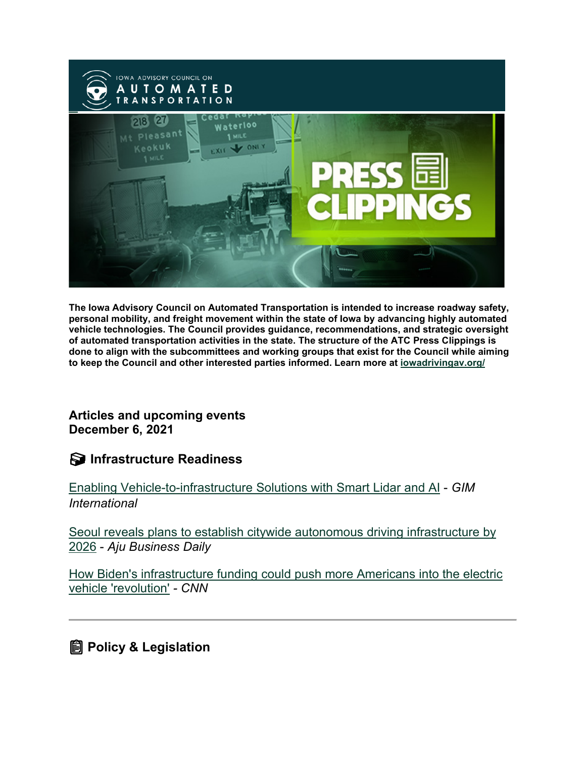

**The Iowa Advisory Council on Automated Transportation is intended to increase roadway safety, personal mobility, and freight movement within the state of Iowa by advancing highly automated vehicle technologies. The Council provides guidance, recommendations, and strategic oversight of automated transportation activities in the state. The structure of the ATC Press Clippings is done to align with the subcommittees and working groups that exist for the Council while aiming to keep the Council and other interested parties informed. Learn more at [iowadrivingav.org/](https://iowadrivingav.org/?utm_medium=email&utm_source=govdelivery)**

**Articles and upcoming events December 6, 2021**

**S** Infrastructure Readiness

[Enabling Vehicle-to-infrastructure Solutions with Smart Lidar and AI](https://www.gim-international.com/content/news/enabling-vehicle-to-infrastructure-solutions-with-smart-lidar-and-ai?utm_medium=email&utm_source=govdelivery) - *GIM International*

[Seoul reveals plans to establish citywide autonomous driving infrastructure by](https://www.ajudaily.com/view/20211125130445857?utm_medium=email&utm_source=govdelivery)  [2026](https://www.ajudaily.com/view/20211125130445857?utm_medium=email&utm_source=govdelivery) - *Aju Business Daily*

[How Biden's infrastructure funding could push more Americans into the electric](https://edition.cnn.com/2021/11/23/politics/biden-electric-vehicle-chargers-climate/index.html?utm_medium=email&utm_source=govdelivery)  [vehicle 'revolution'](https://edition.cnn.com/2021/11/23/politics/biden-electric-vehicle-chargers-climate/index.html?utm_medium=email&utm_source=govdelivery) *- CNN*

**Policy & Legislation**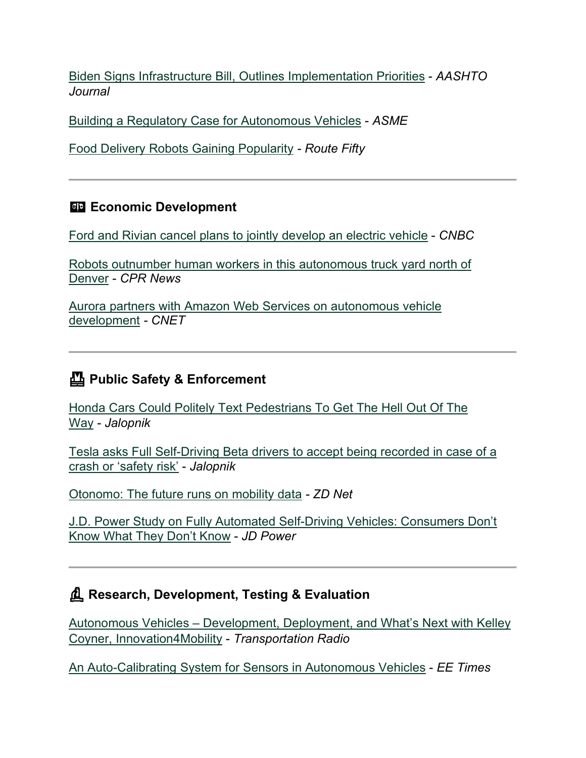[Biden Signs Infrastructure Bill, Outlines Implementation Priorities](https://aashtojournal.org/2021/11/19/biden-signs-infrastructure-bill-outlines-implementation-priorities/?utm_medium=email&utm_source=govdelivery) - *AASHTO Journal*

[Building a Regulatory Case for Autonomous Vehicles](https://www.asme.org/topics-resources/content/building-a-regulatory-case-for-autonomous-vehicles?utm_medium=email&utm_source=govdelivery) - *ASME*

[Food Delivery Robots Gaining Popularity](https://www.route-fifty.com/tech-data/2021/11/food-delivery-robots-are-becoming-more-common/187143/?utm_medium=email&utm_source=govdelivery) *- Route Fifty*

#### **Economic Development**

[Ford and Rivian cancel plans to jointly develop an electric vehicle](https://www.cnbc.com/2021/11/19/ford-and-rivian-cancel-plans-to-jointly-develop-an-electric-vehicle.html?utm_medium=email&utm_source=govdelivery) - *CNBC*

[Robots outnumber human workers in this autonomous truck yard north of](https://www.cpr.org/2021/11/26/robots-outnumber-human-workers-in-this-autonomous-truck-yard-north-of-denver/?utm_medium=email&utm_source=govdelivery)  [Denver](https://www.cpr.org/2021/11/26/robots-outnumber-human-workers-in-this-autonomous-truck-yard-north-of-denver/?utm_medium=email&utm_source=govdelivery) - *CPR News*

[Aurora partners with Amazon Web Services on autonomous vehicle](https://www.cnet.com/roadshow/news/aurora-drive-aws-autonomous-vehicle-development/?utm_medium=email&utm_source=govdelivery)  [development](https://www.cnet.com/roadshow/news/aurora-drive-aws-autonomous-vehicle-development/?utm_medium=email&utm_source=govdelivery) *- CNET*

## **Public Safety & Enforcement**

[Honda Cars Could Politely Text Pedestrians To Get The Hell Out Of The](https://jalopnik.com/honda-cars-could-politely-text-pedestrians-to-get-the-h-1848104882?utm_medium=email&utm_source=govdelivery)  [Way](https://jalopnik.com/honda-cars-could-politely-text-pedestrians-to-get-the-h-1848104882?utm_medium=email&utm_source=govdelivery) - *Jalopnik*

[Tesla asks Full Self-Driving Beta drivers to accept being recorded in case of a](https://electrek.co/2021/11/23/tesla-asks-full-self-driving-beta-to-accept-being-recorded-crash-safety-risk/?utm_medium=email&utm_source=govdelivery)  [crash or 'safety risk'](https://electrek.co/2021/11/23/tesla-asks-full-self-driving-beta-to-accept-being-recorded-crash-safety-risk/?utm_medium=email&utm_source=govdelivery) - *Jalopnik*

[Otonomo: The future runs on mobility data](https://www.zdnet.com/article/otonomo-the-future-runs-on-mobility-data/?utm_medium=email&utm_source=govdelivery) *- ZD Net*

[J.D. Power Study on Fully Automated Self-Driving Vehicles: Consumers Don't](https://www.jdpower.com/business/press-releases/2021-mobility-confidence-index-mci-study?utm_medium=email&utm_source=govdelivery)  [Know What They Don't Know](https://www.jdpower.com/business/press-releases/2021-mobility-confidence-index-mci-study?utm_medium=email&utm_source=govdelivery) - *JD Power*

### **Research, Development, Testing & Evaluation**

Autonomous Vehicles – [Development, Deployment, and What's Next with Kelley](https://transportationradio.wordpress.com/2021/11/23/autonomous-vehicles-development-deployment-and-whats-next-with-kelley-coyner-innovation4mobility/?utm_medium=email&utm_source=govdelivery)  [Coyner, Innovation4Mobility](https://transportationradio.wordpress.com/2021/11/23/autonomous-vehicles-development-deployment-and-whats-next-with-kelley-coyner-innovation4mobility/?utm_medium=email&utm_source=govdelivery) - *Transportation Radio*

[An Auto-Calibrating System for Sensors in Autonomous Vehicles](https://www.eetasia.com/an-auto-calibrating-system-for-sensors-in-autonomous-vehicles/?utm_medium=email&utm_source=govdelivery) - *EE Times*